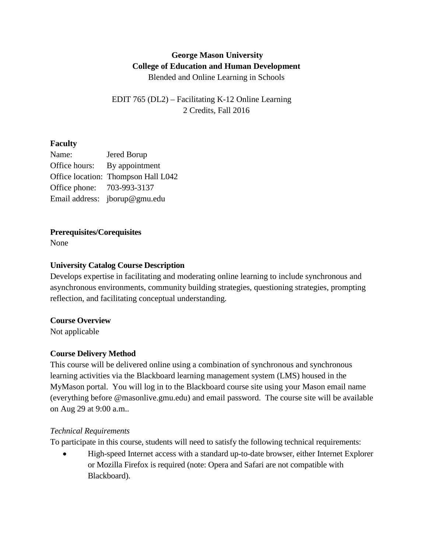# **George Mason University College of Education and Human Development** Blended and Online Learning in Schools

EDIT 765 (DL2) – Facilitating K-12 Online Learning 2 Credits, Fall 2016

### **Faculty**

| Name:                      | Jered Borup                         |
|----------------------------|-------------------------------------|
| Office hours:              | By appointment                      |
|                            | Office location: Thompson Hall L042 |
| Office phone: 703-993-3137 |                                     |
|                            | Email address: jborup@gmu.edu       |

### **Prerequisites/Corequisites**

None

### **University Catalog Course Description**

Develops expertise in facilitating and moderating online learning to include synchronous and asynchronous environments, community building strategies, questioning strategies, prompting reflection, and facilitating conceptual understanding.

#### **Course Overview**

Not applicable

# **Course Delivery Method**

This course will be delivered online using a combination of synchronous and synchronous learning activities via the Blackboard learning management system (LMS) housed in the MyMason portal. You will log in to the Blackboard course site using your Mason email name (everything before @masonlive.gmu.edu) and email password. The course site will be available on Aug 29 at 9:00 a.m..

#### *Technical Requirements*

To participate in this course, students will need to satisfy the following technical requirements:

• High-speed Internet access with a standard up-to-date browser, either Internet Explorer or Mozilla Firefox is required (note: Opera and Safari are not compatible with Blackboard).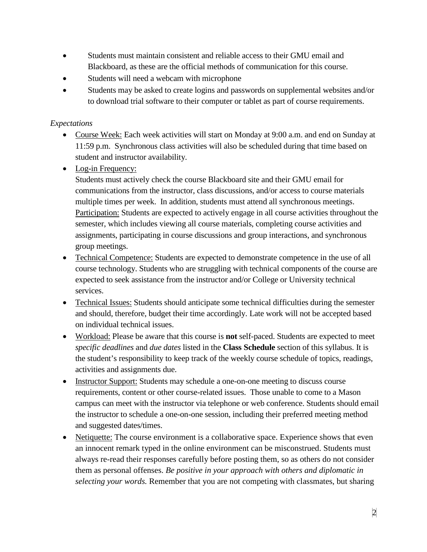- Students must maintain consistent and reliable access to their GMU email and Blackboard, as these are the official methods of communication for this course.
- Students will need a webcam with microphone
- Students may be asked to create logins and passwords on supplemental websites and/or to download trial software to their computer or tablet as part of course requirements.

# *Expectations*

- Course Week: Each week activities will start on Monday at 9:00 a.m. and end on Sunday at 11:59 p.m. Synchronous class activities will also be scheduled during that time based on student and instructor availability.
- Log-in Frequency:

Students must actively check the course Blackboard site and their GMU email for communications from the instructor, class discussions, and/or access to course materials multiple times per week. In addition, students must attend all synchronous meetings. Participation: Students are expected to actively engage in all course activities throughout the semester, which includes viewing all course materials, completing course activities and assignments, participating in course discussions and group interactions, and synchronous group meetings.

- Technical Competence: Students are expected to demonstrate competence in the use of all course technology. Students who are struggling with technical components of the course are expected to seek assistance from the instructor and/or College or University technical services.
- Technical Issues: Students should anticipate some technical difficulties during the semester and should, therefore, budget their time accordingly. Late work will not be accepted based on individual technical issues.
- Workload: Please be aware that this course is **not** self-paced. Students are expected to meet *specific deadlines* and *due dates* listed in the **Class Schedule** section of this syllabus. It is the student's responsibility to keep track of the weekly course schedule of topics, readings, activities and assignments due.
- Instructor Support: Students may schedule a one-on-one meeting to discuss course requirements, content or other course-related issues. Those unable to come to a Mason campus can meet with the instructor via telephone or web conference. Students should email the instructor to schedule a one-on-one session, including their preferred meeting method and suggested dates/times.
- Netiquette: The course environment is a collaborative space. Experience shows that even an innocent remark typed in the online environment can be misconstrued. Students must always re-read their responses carefully before posting them, so as others do not consider them as personal offenses. *Be positive in your approach with others and diplomatic in selecting your words.* Remember that you are not competing with classmates, but sharing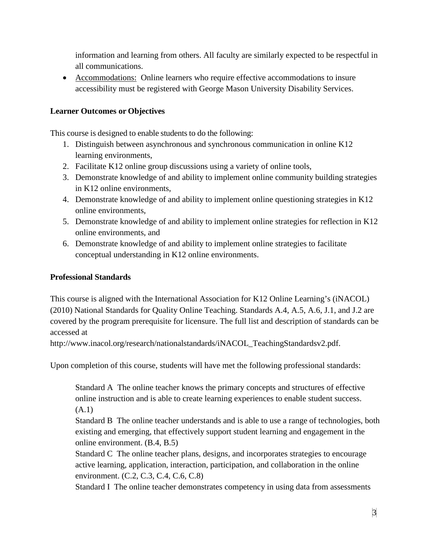information and learning from others. All faculty are similarly expected to be respectful in all communications.

• Accommodations: Online learners who require effective accommodations to insure accessibility must be registered with George Mason University Disability Services.

### **Learner Outcomes or Objectives**

This course is designed to enable students to do the following:

- 1. Distinguish between asynchronous and synchronous communication in online K12 learning environments,
- 2. Facilitate K12 online group discussions using a variety of online tools,
- 3. Demonstrate knowledge of and ability to implement online community building strategies in K12 online environments,
- 4. Demonstrate knowledge of and ability to implement online questioning strategies in K12 online environments,
- 5. Demonstrate knowledge of and ability to implement online strategies for reflection in K12 online environments, and
- 6. Demonstrate knowledge of and ability to implement online strategies to facilitate conceptual understanding in K12 online environments.

#### **Professional Standards**

This course is aligned with the International Association for K12 Online Learning's (iNACOL) (2010) National Standards for Quality Online Teaching. Standards A.4, A.5, A.6, J.1, and J.2 are covered by the program prerequisite for licensure. The full list and description of standards can be accessed at

http://www.inacol.org/research/nationalstandards/iNACOL\_TeachingStandardsv2.pdf.

Upon completion of this course, students will have met the following professional standards:

Standard A The online teacher knows the primary concepts and structures of effective online instruction and is able to create learning experiences to enable student success. (A.1)

Standard B The online teacher understands and is able to use a range of technologies, both existing and emerging, that effectively support student learning and engagement in the online environment. (B.4, B.5)

Standard C The online teacher plans, designs, and incorporates strategies to encourage active learning, application, interaction, participation, and collaboration in the online environment. (C.2, C.3, C.4, C.6, C.8)

Standard I The online teacher demonstrates competency in using data from assessments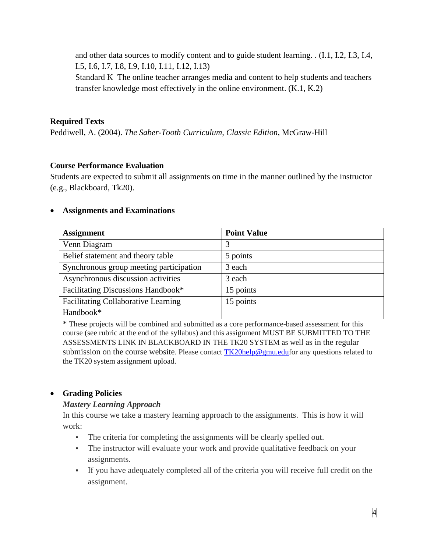and other data sources to modify content and to guide student learning. . (I.1, I.2, I.3, I.4, I.5, I.6, I.7, I.8, I.9, I.10, I.11, I.12, I.13)

Standard K The online teacher arranges media and content to help students and teachers transfer knowledge most effectively in the online environment. (K.1, K.2)

### **Required Texts**

Peddiwell, A. (2004). *The Saber-Tooth Curriculum, Classic Edition*, McGraw-Hill

### **Course Performance Evaluation**

Students are expected to submit all assignments on time in the manner outlined by the instructor (e.g., Blackboard, Tk20).

#### • **Assignments and Examinations**

| <b>Assignment</b>                          | <b>Point Value</b> |
|--------------------------------------------|--------------------|
| Venn Diagram                               | 3                  |
| Belief statement and theory table          | 5 points           |
| Synchronous group meeting participation    | 3 each             |
| Asynchronous discussion activities         | 3 each             |
| Facilitating Discussions Handbook*         | 15 points          |
| <b>Facilitating Collaborative Learning</b> | 15 points          |
| Handbook*                                  |                    |

\* These projects will be combined and submitted as a core performance-based assessment for this course (see rubric at the end of the syllabus) and this assignment MUST BE SUBMITTED TO THE ASSESSMENTS LINK IN BLACKBOARD IN THE TK20 SYSTEM as well as in the regular submission on the course website. Please contact  $TK20$ help@gmu.edufor any questions related to the TK20 system assignment upload.

# • **Grading Policies**

# *Mastery Learning Approach*

In this course we take a mastery learning approach to the assignments. This is how it will work:

- The criteria for completing the assignments will be clearly spelled out.
- The instructor will evaluate your work and provide qualitative feedback on your assignments.
- If you have adequately completed all of the criteria you will receive full credit on the assignment.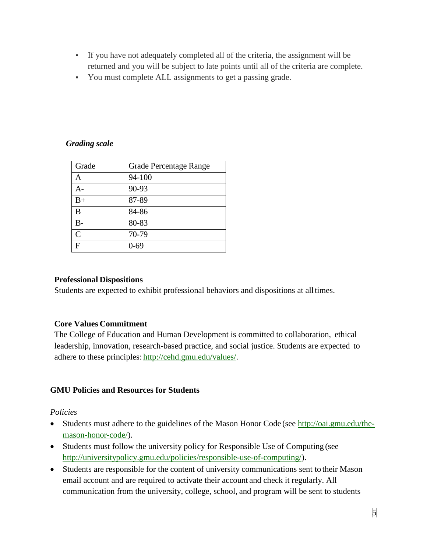- If you have not adequately completed all of the criteria, the assignment will be returned and you will be subject to late points until all of the criteria are complete.
- You must complete ALL assignments to get a passing grade.

### *Grading scale*

| Grade          | Grade Percentage Range |
|----------------|------------------------|
| A              | 94-100                 |
| А-             | 90-93                  |
| $B+$           | 87-89                  |
| B              | 84-86                  |
| B-             | 80-83                  |
| $\overline{C}$ | 70-79                  |
| F              | 0-69                   |

#### **Professional Dispositions**

Students are expected to exhibit professional behaviors and dispositions at alltimes.

# **Core Values Commitment**

The College of Education and Human Development is committed to collaboration, ethical leadership, innovation, research-based practice, and social justice. Students are expected to adhere to these principles: [http://cehd.gmu.edu/values/.](http://cehd.gmu.edu/values/)

# **GMU Policies and Resources for Students**

#### *Policies*

- Students must adhere to the guidelines of the Mason Honor Code (see [http://oai.gmu.edu/the](http://oai.gmu.edu/the-mason-honor-code/)[mason-honor-code/\)](http://oai.gmu.edu/the-mason-honor-code/).
- Students must follow the university policy for Responsible Use of Computing (see [http://universitypolicy.gmu.edu/policies/responsible-use-of-computing/\)](http://universitypolicy.gmu.edu/policies/responsible-use-of-computing/).
- Students are responsible for the content of university communications sent to their Mason email account and are required to activate their account and check it regularly. All communication from the university, college, school, and program will be sent to students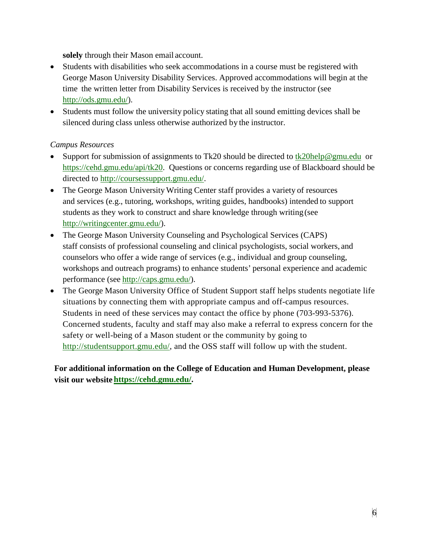**solely** through their Mason email account.

- Students with disabilities who seek accommodations in a course must be registered with George Mason University Disability Services. Approved accommodations will begin at the time the written letter from Disability Services is received by the instructor (see [http://ods.gmu.edu/\)](http://ods.gmu.edu/).
- Students must follow the university policy stating that all sound emitting devices shall be silenced during class unless otherwise authorized by the instructor.

# *Campus Resources*

- Support for submission of assignments to Tk20 should be directed to [tk20help@gmu.edu](mailto:tk20help@gmu.edu) or [https://cehd.gmu.edu/api/tk20.](https://cehd.gmu.edu/api/tk20) Questions or concerns regarding use of Blackboard should be directed to [http://coursessupport.gmu.edu/.](http://coursessupport.gmu.edu/)
- The George Mason University Writing Center staff provides a variety of resources and services (e.g., tutoring, workshops, writing guides, handbooks) intended to support students as they work to construct and share knowledge through writing(see [http://writingcenter.gmu.edu/\)](http://writingcenter.gmu.edu/).
- The George Mason University Counseling and Psychological Services (CAPS) staff consists of professional counseling and clinical psychologists, social workers, and counselors who offer a wide range of services (e.g., individual and group counseling, workshops and outreach programs) to enhance students' personal experience and academic performance (see [http://caps.gmu.edu/\)](http://caps.gmu.edu/).
- The George Mason University Office of Student Support staff helps students negotiate life situations by connecting them with appropriate campus and off-campus resources. Students in need of these services may contact the office by phone (703-993-5376). Concerned students, faculty and staff may also make a referral to express concern for the safety or well-being of a Mason student or the community by going to [http://studentsupport.gmu.edu/,](http://studentsupport.gmu.edu/) and the OSS staff will follow up with the student.

# **For additional information on the College of Education and Human Development, please visit our website https://cehd.gmu.edu/.**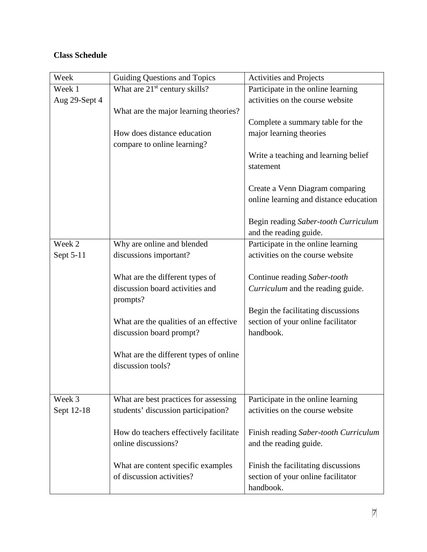# **Class Schedule**

| Week          | <b>Guiding Questions and Topics</b>       | Activities and Projects                                        |  |
|---------------|-------------------------------------------|----------------------------------------------------------------|--|
| Week 1        | What are 21 <sup>st</sup> century skills? | Participate in the online learning                             |  |
| Aug 29-Sept 4 |                                           | activities on the course website                               |  |
|               | What are the major learning theories?     |                                                                |  |
|               |                                           | Complete a summary table for the                               |  |
|               | How does distance education               | major learning theories                                        |  |
|               | compare to online learning?               |                                                                |  |
|               |                                           | Write a teaching and learning belief                           |  |
|               |                                           | statement                                                      |  |
|               |                                           |                                                                |  |
|               |                                           | Create a Venn Diagram comparing                                |  |
|               |                                           | online learning and distance education                         |  |
|               |                                           |                                                                |  |
|               |                                           | Begin reading Saber-tooth Curriculum<br>and the reading guide. |  |
| Week 2        | Why are online and blended                | Participate in the online learning                             |  |
| Sept 5-11     | discussions important?                    | activities on the course website                               |  |
|               |                                           |                                                                |  |
|               | What are the different types of           | Continue reading Saber-tooth                                   |  |
|               | discussion board activities and           | Curriculum and the reading guide.                              |  |
|               | prompts?                                  |                                                                |  |
|               |                                           | Begin the facilitating discussions                             |  |
|               | What are the qualities of an effective    | section of your online facilitator                             |  |
|               | discussion board prompt?                  | handbook.                                                      |  |
|               |                                           |                                                                |  |
|               | What are the different types of online    |                                                                |  |
|               | discussion tools?                         |                                                                |  |
|               |                                           |                                                                |  |
|               |                                           |                                                                |  |
| Week 3        | What are best practices for assessing     | Participate in the online learning                             |  |
| Sept 12-18    | students' discussion participation?       | activities on the course website                               |  |
|               | How do teachers effectively facilitate    | Finish reading Saber-tooth Curriculum                          |  |
|               | online discussions?                       | and the reading guide.                                         |  |
|               |                                           |                                                                |  |
|               | What are content specific examples        | Finish the facilitating discussions                            |  |
|               | of discussion activities?                 | section of your online facilitator                             |  |
|               |                                           | handbook.                                                      |  |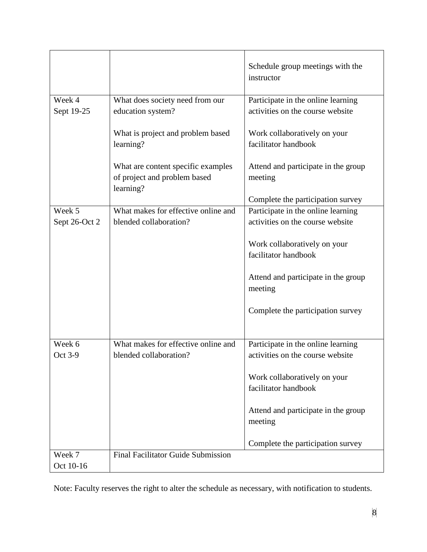|                         |                                                                                 | Schedule group meetings with the<br>instructor                         |  |
|-------------------------|---------------------------------------------------------------------------------|------------------------------------------------------------------------|--|
| Week 4                  | What does society need from our                                                 | Participate in the online learning                                     |  |
| Sept 19-25              | education system?                                                               | activities on the course website                                       |  |
|                         | What is project and problem based<br>learning?                                  | Work collaboratively on your<br>facilitator handbook                   |  |
|                         | What are content specific examples<br>of project and problem based<br>learning? | Attend and participate in the group<br>meeting                         |  |
|                         |                                                                                 | Complete the participation survey                                      |  |
| Week 5<br>Sept 26-Oct 2 | What makes for effective online and<br>blended collaboration?                   | Participate in the online learning<br>activities on the course website |  |
|                         |                                                                                 | Work collaboratively on your<br>facilitator handbook                   |  |
|                         |                                                                                 | Attend and participate in the group<br>meeting                         |  |
|                         |                                                                                 | Complete the participation survey                                      |  |
|                         |                                                                                 |                                                                        |  |
| Week 6<br>Oct 3-9       | What makes for effective online and<br>blended collaboration?                   | Participate in the online learning<br>activities on the course website |  |
|                         |                                                                                 | Work collaboratively on your<br>facilitator handbook                   |  |
|                         |                                                                                 | Attend and participate in the group<br>meeting                         |  |
|                         |                                                                                 | Complete the participation survey                                      |  |
| Week 7                  | <b>Final Facilitator Guide Submission</b>                                       |                                                                        |  |
| Oct 10-16               |                                                                                 |                                                                        |  |

Note: Faculty reserves the right to alter the schedule as necessary, with notification to students.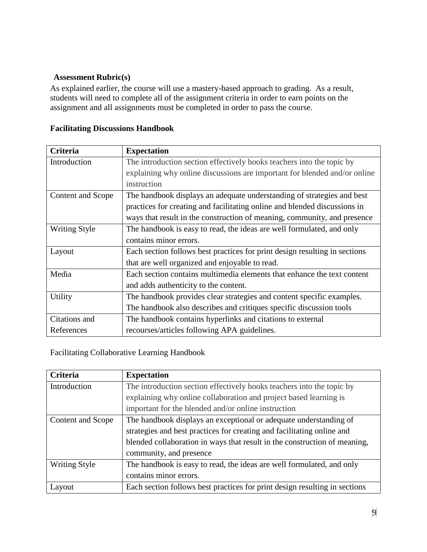#### **Assessment Rubric(s)**

As explained earlier, the course will use a mastery-based approach to grading. As a result, students will need to complete all of the assignment criteria in order to earn points on the assignment and all assignments must be completed in order to pass the course.

| <b>Criteria</b>          | <b>Expectation</b>                                                         |  |  |
|--------------------------|----------------------------------------------------------------------------|--|--|
| Introduction             | The introduction section effectively hooks teachers into the topic by      |  |  |
|                          | explaining why online discussions are important for blended and/or online  |  |  |
|                          | instruction                                                                |  |  |
| <b>Content and Scope</b> | The handbook displays an adequate understanding of strategies and best     |  |  |
|                          | practices for creating and facilitating online and blended discussions in  |  |  |
|                          | ways that result in the construction of meaning, community, and presence   |  |  |
| <b>Writing Style</b>     | The handbook is easy to read, the ideas are well formulated, and only      |  |  |
|                          | contains minor errors.                                                     |  |  |
| Layout                   | Each section follows best practices for print design resulting in sections |  |  |
|                          | that are well organized and enjoyable to read.                             |  |  |
| Media                    | Each section contains multimedia elements that enhance the text content    |  |  |
|                          | and adds authenticity to the content.                                      |  |  |
| Utility                  | The handbook provides clear strategies and content specific examples.      |  |  |
|                          | The handbook also describes and critiques specific discussion tools        |  |  |
| Citations and            | The handbook contains hyperlinks and citations to external                 |  |  |
| References               | recourses/articles following APA guidelines.                               |  |  |

# **Facilitating Discussions Handbook**

#### Facilitating Collaborative Learning Handbook

| Criteria             | <b>Expectation</b>                                                         |  |
|----------------------|----------------------------------------------------------------------------|--|
| Introduction         | The introduction section effectively hooks teachers into the topic by      |  |
|                      | explaining why online collaboration and project based learning is          |  |
|                      | important for the blended and/or online instruction                        |  |
| Content and Scope    | The handbook displays an exceptional or adequate understanding of          |  |
|                      | strategies and best practices for creating and facilitating online and     |  |
|                      | blended collaboration in ways that result in the construction of meaning,  |  |
|                      | community, and presence                                                    |  |
| <b>Writing Style</b> | The handbook is easy to read, the ideas are well formulated, and only      |  |
|                      | contains minor errors.                                                     |  |
| Layout               | Each section follows best practices for print design resulting in sections |  |